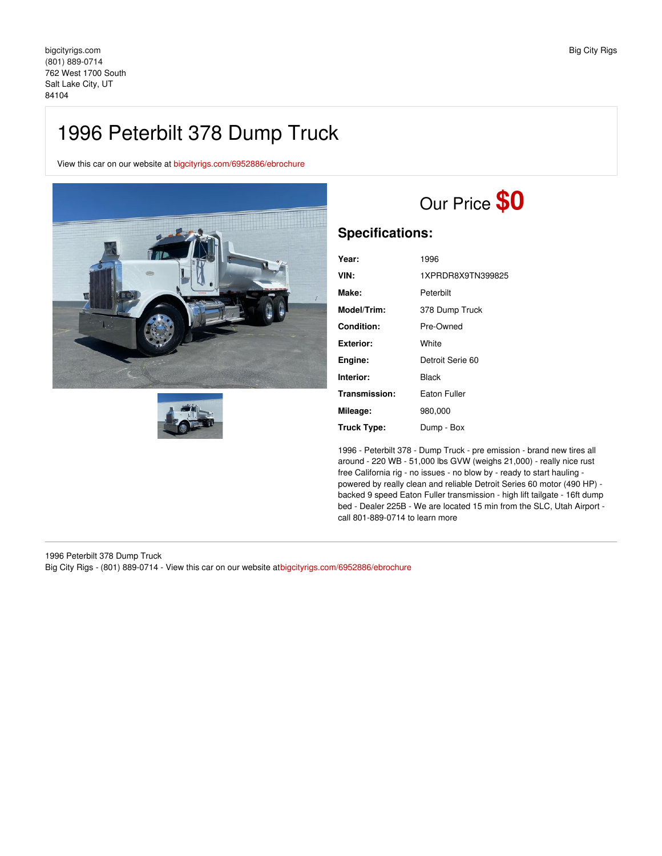## 1996 Peterbilt 378 Dump Truck

View this car on our website at [bigcityrigs.com/6952886/ebrochure](https://bigcityrigs.com/vehicle/6952886/1996-peterbilt-378-dump-truck-salt-lake-city-ut-84104/6952886/ebrochure)





## Our Price **\$0**

## **Specifications:**

| Year:         | 1996              |
|---------------|-------------------|
| VIN:          | 1XPRDR8X9TN399825 |
| Make:         | Peterbilt         |
| Model/Trim:   | 378 Dump Truck    |
| Condition:    | Pre-Owned         |
| Exterior:     | White             |
| Engine:       | Detroit Serie 60  |
| Interior:     | Black             |
| Transmission: | Eaton Fuller      |
| Mileage:      | 980,000           |
| Truck Type:   | Dump - Box        |

1996 - Peterbilt 378 - Dump Truck - pre emission - brand new tires all around - 220 WB - 51,000 lbs GVW (weighs 21,000) - really nice rust free California rig - no issues - no blow by - ready to start hauling powered by really clean and reliable Detroit Series 60 motor (490 HP) backed 9 speed Eaton Fuller transmission - high lift tailgate - 16ft dump bed - Dealer 225B - We are located 15 min from the SLC, Utah Airport call 801-889-0714 to learn more

1996 Peterbilt 378 Dump Truck Big City Rigs - (801) 889-0714 - View this car on our website at[bigcityrigs.com/6952886/ebrochure](https://bigcityrigs.com/vehicle/6952886/1996-peterbilt-378-dump-truck-salt-lake-city-ut-84104/6952886/ebrochure)